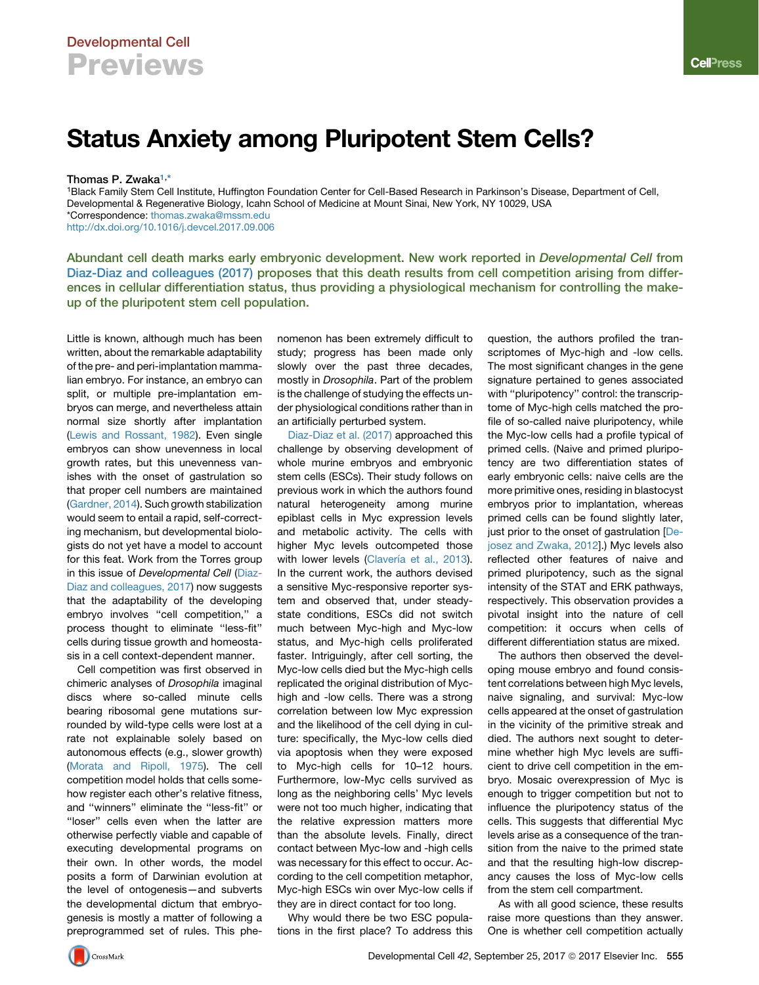## Status Anxiety among Pluripotent Stem Cells?

Thomas P. Zwaka<sup>[1,](#page-0-0)[\\*](#page-0-1)</sup>

<span id="page-0-1"></span><span id="page-0-0"></span>1Black Family Stem Cell Institute, Huffington Foundation Center for Cell-Based Research in Parkinson's Disease, Department of Cell, Developmental & Regenerative Biology, Icahn School of Medicine at Mount Sinai, New York, NY 10029, USA \*Correspondence: [thomas.zwaka@mssm.edu](mailto:thomas.zwaka@mssm.edu) <http://dx.doi.org/10.1016/j.devcel.2017.09.006>

Abundant cell death marks early embryonic development. New work reported in Developmental Cell from [Diaz-Diaz and colleagues \(2017\)](#page-1-0) proposes that this death results from cell competition arising from differences in cellular differentiation status, thus providing a physiological mechanism for controlling the makeup of the pluripotent stem cell population.

Little is known, although much has been written, about the remarkable adaptability of the pre- and peri-implantation mammalian embryo. For instance, an embryo can split, or multiple pre-implantation embryos can merge, and nevertheless attain normal size shortly after implantation [\(Lewis and Rossant, 1982](#page-1-1)). Even single embryos can show unevenness in local growth rates, but this unevenness vanishes with the onset of gastrulation so that proper cell numbers are maintained [\(Gardner, 2014\)](#page-1-2). Such growth stabilization would seem to entail a rapid, self-correcting mechanism, but developmental biologists do not yet have a model to account for this feat. Work from the Torres group in this issue of *Developmental Cell* ([Diaz-](#page-1-0)[Diaz and colleagues, 2017\)](#page-1-0) now suggests that the adaptability of the developing embryo involves ''cell competition,'' a process thought to eliminate ''less-fit'' cells during tissue growth and homeostasis in a cell context-dependent manner.

Cell competition was first observed in chimeric analyses of *Drosophila* imaginal discs where so-called minute cells bearing ribosomal gene mutations surrounded by wild-type cells were lost at a rate not explainable solely based on autonomous effects (e.g., slower growth) [\(Morata and Ripoll, 1975\)](#page-1-3). The cell competition model holds that cells somehow register each other's relative fitness, and ''winners'' eliminate the ''less-fit'' or ''loser'' cells even when the latter are otherwise perfectly viable and capable of executing developmental programs on their own. In other words, the model posits a form of Darwinian evolution at the level of ontogenesis—and subverts the developmental dictum that embryogenesis is mostly a matter of following a preprogrammed set of rules. This phenomenon has been extremely difficult to study; progress has been made only slowly over the past three decades, mostly in *Drosophila*. Part of the problem is the challenge of studying the effects under physiological conditions rather than in an artificially perturbed system.

[Diaz-Diaz et al. \(2017\)](#page-1-0) approached this challenge by observing development of whole murine embryos and embryonic stem cells (ESCs). Their study follows on previous work in which the authors found natural heterogeneity among murine epiblast cells in Myc expression levels and metabolic activity. The cells with higher Myc levels outcompeted those with lower levels (Clavería [et al., 2013](#page-1-4)). In the current work, the authors devised a sensitive Myc-responsive reporter system and observed that, under steadystate conditions, ESCs did not switch much between Myc-high and Myc-low status, and Myc-high cells proliferated faster. Intriguingly, after cell sorting, the Myc-low cells died but the Myc-high cells replicated the original distribution of Mychigh and -low cells. There was a strong correlation between low Myc expression and the likelihood of the cell dying in culture: specifically, the Myc-low cells died via apoptosis when they were exposed to Myc-high cells for 10–12 hours. Furthermore, low-Myc cells survived as long as the neighboring cells' Myc levels were not too much higher, indicating that the relative expression matters more than the absolute levels. Finally, direct contact between Myc-low and -high cells was necessary for this effect to occur. According to the cell competition metaphor, Myc-high ESCs win over Myc-low cells if they are in direct contact for too long.

Why would there be two ESC populations in the first place? To address this question, the authors profiled the transcriptomes of Myc-high and -low cells. The most significant changes in the gene signature pertained to genes associated with ''pluripotency'' control: the transcriptome of Myc-high cells matched the profile of so-called naive pluripotency, while the Myc-low cells had a profile typical of primed cells. (Naive and primed pluripotency are two differentiation states of early embryonic cells: naive cells are the more primitive ones, residing in blastocyst embryos prior to implantation, whereas primed cells can be found slightly later, just prior to the onset of gastrulation [\[De](#page-1-5)[josez and Zwaka, 2012\]](#page-1-5).) Myc levels also reflected other features of naive and primed pluripotency, such as the signal intensity of the STAT and ERK pathways, respectively. This observation provides a pivotal insight into the nature of cell competition: it occurs when cells of different differentiation status are mixed.

The authors then observed the developing mouse embryo and found consistent correlations between high Myc levels, naive signaling, and survival: Myc-low cells appeared at the onset of gastrulation in the vicinity of the primitive streak and died. The authors next sought to determine whether high Myc levels are sufficient to drive cell competition in the embryo. Mosaic overexpression of Myc is enough to trigger competition but not to influence the pluripotency status of the cells. This suggests that differential Myc levels arise as a consequence of the transition from the naive to the primed state and that the resulting high-low discrepancy causes the loss of Myc-low cells from the stem cell compartment.

As with all good science, these results raise more questions than they answer. One is whether cell competition actually